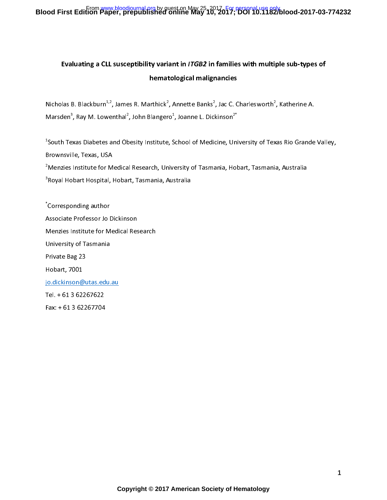## Blood First Edition Paper, prepublished online May 25, 2017 <sub>1</sub> Fersonal use only.<br>Blood First Edition Paper, prepublished online May 10, 2017; DOI 10.1182/blood-2017-03-774232

## Evaluating a CLL susceptibility variant in ITGB2 in families with multiple sub-types of hematological malignancies

.<br>P Nicholas B. Blackburn\*'\*, James R. Marthick\*, Annette Banks\*<br>Marcdon<sup>3,</sup> Pay M. Lowenthal<sup>2</sup>, John Blangere<sup>1</sup>, Joanne L. Dick , Jac C. Charlesworthf, Katherine A.<br>kinson<sup>2\*</sup> Marsden°, Ray M. Lowenthal°, John Blangero°, Joanne L. Dickinson°<br>.

 $\overline{1}$  $1$ South Texas Diabetes and Obesity Institute, School of Medicine, University of Texas Rio Grande Valley, South Texas Diabetes and Obesity Institute, School of Medicine, University of Texas Rio Grande Valley,

s<br>Amenzies Institute for Medical Research, University of Tasmania, Hobart, Tasmania, Australia<br>Proval Hobart Hospital, Hobart, Tasmania, Australia

3 Royal Hobart Hospital, Hobart, Tasmania, Australia

, Corresponding author Associate Professor Jo Dickinson Menzies Institute for Medical Research University of Tasmania Private Bag 23 Hobart, 7001 jo.dickinson@utas.edu.au Tel. + 61 3 62267622  $Fax: + 61362267704$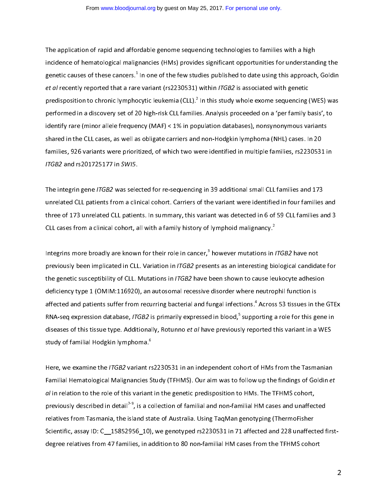The application of rapid and affordable genome sequencing technologies to families with a high<br>incidence of hematological malignancies (HMs) provides significant opportunities for understanding the incidence of hematological malignancies (HMs) provides significant opportunities for understanding the genetic causes of these cancers.<sup>+</sup><br>at al recontly reported that a rare et al recently reported that a rare variant (rs2230531) within ITGB2 is associated with genetic et al recently reported that a rare variant (rs2230331) within ITGB2 is associated with genetic<br>prodicposition to chronic lymphocytic loukomia (CLL) <sup>2</sup> in this study whole overno sociencing i predisposition to chronic lymphocytic leukemia (CLL).<sup>2</sup><br>20 norformed in a discovery set of 20 high rick CLL familie performed in a discovery set of 20 high-risk CLL families. Analysis proceeded on a 'per family basis', to identify rare (minor allele frequency (MAF) < 1% in population databases), nonsynonymous variants shared in the CLL cases, as well as obligate carriers and non-Hodgkin lymphoma (NHL) cases. In 20 families, 926 variants were prioritized, of which two were identified in multiple families, rs2230531 in families,  $\frac{1}{2}$  variants were prioritized, of which two weaks  $\frac{1}{2}$  in  $\frac{1}{2}$  in  $\frac{1}{2}$  in  $\frac{1}{2}$  in  $\frac{1}{2}$  in  $\frac{1}{2}$  in  $\frac{1}{2}$  in  $\frac{1}{2}$  in  $\frac{1}{2}$  in  $\frac{1}{2}$  in  $\frac{1}{2}$  in  $\frac{1}{2}$  in ITGB2 and rs201725177 in SWI5.

 $\overline{1}$ The integrin gene *ITGB2* was selected for re-sequencing in 39 additional small CLL families and 173<br>unrelated CLL patients from a clinical cohort. Carriers of the variant were identified in four families and three of 173 unrelated CLL patients. In summary, this variant was detected in 6 of 59 CLL families and 3  $\frac{1}{2}$ CLL cases from a clinical cohort, all with a family history of lymphoid malignancy.<sup>2</sup>

 $\overline{1}$ Integrins more broadly are known for their role in cancer,<sup>3</sup> however mutations in *ITGB2* have not previously been implicated in CLL. Variation in ITGB2 presents as an interesting biological candidate for the genetic susceptibility of CLL. Mutations in ITGB2 have been shown to cause leukocyte adhesion deficiency type 1 (OMIM:116920), an autosomal recessive disorder where neutrophil function is affected and patients suffer from recurring bacterial and fungal infections.<sup>4</sup> Across 53 tissues in the GTEx affected and patients suffer from recurring bacterial and fungal infections." Across 53 tissues in the GTEx<br>RNA con expression database. *ITGR3* is primarily expressed in blood <sup>5</sup> supporting a role for this gone in RNA-seq expression database, *ITGB2* is primarily expressed in blood, <sup>3</sup><br>diseases of this tissue type. Additionally, Betunne at al have proviews supporting a role for this gene in diseases of this tissue type. Additionally, Rotunno e*t al have previously* reported this variant in a WES<br>study of familial Hadskin lymphoma <sup>6</sup> study of familial Hodgkin lymphoma.<sup>6</sup>

l Here, we examine the *ITGB2* variant rs2230531 in an independent cohort of HMs from the Tasmanian<br>Familial Hematological Malignancies Study (TFHMS). Our aim was to follow up the findings of Goldin *et*  $I$  al in relation to the role of this variant in the genetic predisposition to HMs. The TFHMS cohort, al in relation to the role of this variant in the genetic predisposition to HMs. The TFHMS cohort,<br>proviously described in detail<sup>7-9</sup> is a sellection of familial and non-familial UM cases and unaffec previously described in detail' ", is a collection of familial and non-familial HM cases and unaffected<br>relatives from Tasmania, the island state of Australia. Heing TagMan genetyning (ThermoEisher relatives from Tasmania, the island state of Australia. Using TaqMan genotyping (ThermoFisher<br>Scientific, assay ID: C 15852956 10), we genotyped rs2230531 in 71 affected and 228 unaffected firstdegree relatives from 47 families, in addition to 80 non-familial HM cases from the TFHMS cohort degree relatives from 47 families, in addition to 80 non-families from the TFHM cases from the TFHMS cohort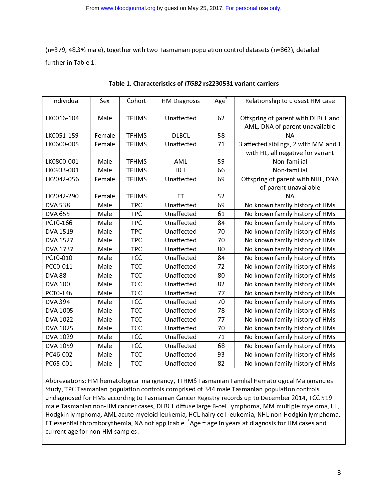(n=379, 48.3% male), together with two Tasmanian population control datasets (n=862), detailed

| Individual     | Sex    | Cohort       | <b>HM Diagnosis</b> | Age | Relationship to closest HM case                                      |  |
|----------------|--------|--------------|---------------------|-----|----------------------------------------------------------------------|--|
| LK0016-104     | Male   | <b>TFHMS</b> | Unaffected          | 62  | Offspring of parent with DLBCL and<br>AML, DNA of parent unavailable |  |
| LK0051-159     | Female | <b>TFHMS</b> | <b>DLBCL</b>        | 58  | NΑ                                                                   |  |
| LK0600-005     | Female | <b>TFHMS</b> | Unaffected          | 71  | 3 affected siblings, 2 with MM and 1                                 |  |
|                |        |              |                     |     | with HL, all negative for variant                                    |  |
| LK0800-001     | Male   | <b>TFHMS</b> | AML                 | 59  | Non-familial                                                         |  |
| LK0933-001     | Male   | <b>TFHMS</b> | <b>HCL</b>          | 66  | Non-familial                                                         |  |
| LK2042-056     | Female | <b>TFHMS</b> | Unaffected          | 69  | Offspring of parent with NHL, DNA                                    |  |
|                |        |              |                     |     | of parent unavailable                                                |  |
| LK2042-290     | Female | <b>TFHMS</b> | ET                  | 52  | NΑ                                                                   |  |
| <b>DVA 538</b> | Male   | <b>TPC</b>   | Unaffected          | 69  | No known family history of HMs                                       |  |
| <b>DVA 655</b> | Male   | <b>TPC</b>   | Unaffected          | 61  | No known family history of HMs                                       |  |
| PCT0-166       | Male   | <b>TPC</b>   | Unaffected          | 84  | No known family history of HMs                                       |  |
| DVA 1519       | Male   | <b>TPC</b>   | Unaffected          | 70  | No known family history of HMs                                       |  |
| DVA 1527       | Male   | <b>TPC</b>   | Unaffected          | 70  | No known family history of HMs                                       |  |
| DVA 1737       | Male   | <b>TPC</b>   | Unaffected          | 80  | No known family history of HMs                                       |  |
| PCT0-010       | Male   | <b>TCC</b>   | Unaffected          | 84  | No known family history of HMs                                       |  |
| PCC0-011       | Male   | <b>TCC</b>   | Unaffected          | 72  | No known family history of HMs                                       |  |
| <b>DVA 88</b>  | Male   | <b>TCC</b>   | Unaffected          | 80  | No known family history of HMs                                       |  |
| <b>DVA 100</b> | Male   | <b>TCC</b>   | Unaffected          | 82  | No known family history of HMs                                       |  |
| PCT0-146       | Male   | <b>TCC</b>   | Unaffected          | 77  | No known family history of HMs                                       |  |
| <b>DVA 394</b> | Male   | <b>TCC</b>   | Unaffected          | 70  | No known family history of HMs                                       |  |
| DVA 1005       | Male   | <b>TCC</b>   | Unaffected          | 78  | No known family history of HMs                                       |  |
| DVA 1022       | Male   | <b>TCC</b>   | Unaffected          | 77  | No known family history of HMs                                       |  |
| DVA 1025       | Male   | <b>TCC</b>   | Unaffected          | 70  | No known family history of HMs                                       |  |
| DVA 1029       | Male   | <b>TCC</b>   | Unaffected          | 71  | No known family history of HMs                                       |  |
| DVA 1059       | Male   | <b>TCC</b>   | Unaffected          | 68  | No known family history of HMs                                       |  |
| PC46-002       | Male   | <b>TCC</b>   | Unaffected          | 93  | No known family history of HMs                                       |  |
| PC65-001       | Male   | <b>TCC</b>   | Unaffected          | 82  | No known family history of HMs                                       |  |
|                |        |              |                     |     |                                                                      |  |

| Table 1. Characteristics of <i>ITGB2</i> rs2230531 variant carriers |  |
|---------------------------------------------------------------------|--|
|                                                                     |  |

 $\overline{\phantom{a}}$ Abbreviations: HM hematological malignancy, TFHMS Tasmanian Familial Hematological Malignancies<br>Study, TPC Tasmanian population controls comprised of 344 male Tasmanian population controls undiagnosed for HMs according to Tasmanian Cancer Registry records up to December 2014, TCC 519 male Tasmanian non-HM cancer cases, DLBCL diffuse large B-cell lymphoma, MM multiple myeloma, HL, Hodgkin lymphoma, AML acute myeloid leukemia, HCL hairy cell leukemia, NHL non-Hodgkin lymphoma, ET essential thrombocythemia, NA not applicable. \*Age = age in years at diagnosis for HM cases and<br>current age for non-HM samples. current age for non-HM samples.

 $\overline{a}$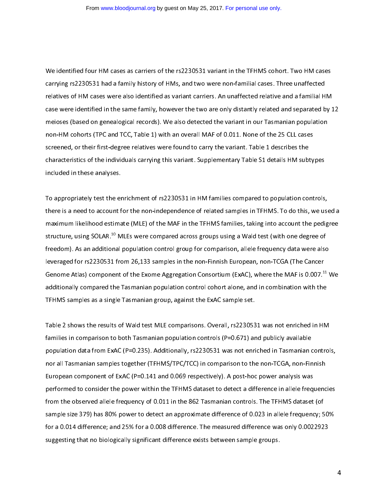$\overline{\phantom{0}}$ We identified four HM cases as carriers of the rs2230531 variant in the TFHMS cohort. Two HM cases<br>carrying rs2230531 had a family history of HMs, and two were non-familial cases. Three unaffected relatives of HM cases were also identified as variant carriers. An unaffected relative and a familial HM case were identified in the same family, however the two are only distantly related and separated by 12 meioses (based on genealogical records). We also detected the variant in our Tasmanian population non-HM cohorts (TPC and TCC, Table 1) with an overall MAF of 0.011. None of the 25 CLL cases screened, or their first-degree relatives were found to carry the variant. Table 1 describes the characteristics of the individuals carrying this variant. Supplementary Table S1 details HM subtypes  $\frac{1}{2}$  included in these analyses. included in these analyses.

 $\overline{a}$ To appropriately test the enrichment of rs2230531 in HM families compared to population controls,<br>there is a need to account for the non-independence of related samples in TFHMS. To do this, we used a maximum likelihood estimate (MLE) of the MAF in the TFHMS families, taking into account the pedigree maximum likelihood estimate (MLE) of the MAF in the TFHMS families, taking into account the penigree. structure, using SOLAR.<sup>10</sup> MLEs were compared across groups using a Wald test (with one degree of<br>froodom). As an additional population control group for comparison, allelo froquency data wore also freedom). As an additional population control group for comparison, allele frequency data were also<br>leveraged for rs2230531 from 26,133 samples in the non-Finnish European, non-TCGA (The Cancer  $\frac{1}{2}$  from 25,133 samples in the form  $\frac{1}{2}$  from 25,133 samples in the non-Finnish European, non-TCGA (The Cancer of the European 2003) Genome Atlas) component of the Exome Aggregation Consortium (ExAC), where the MAF is 0.007.<sup>11</sup> We<br>additionally compared the Tasmanian population control sebert alone, and in combination with the additionally compared the Tasmanian population control cohort alone, and in combination with the<br>TFHMS samples as a single Tasmanian group, against the ExAC sample set.  $T$ Figures as a single Tasmanian group, and  $T$ 

l Table 2 shows the results of Wald test MLE comparisons. Overall, rs2230531 was not enriched in HM<br>families in comparison to both Tasmanian population controls (P=0.671) and publicly available population data from ExAC (P=0.235). Additionally, rs2230531 was not enriched in Tasmanian controls, nor all Tasmanian samples together (TFHMS/TPC/TCC) in comparison to the non-TCGA, non-Finnish European component of ExAC (P=0.141 and 0.069 respectively). A post-hoc power analysis was performed to consider the power within the TFHMS dataset to detect a difference in allele frequencies from the observed allele frequency of 0.011 in the 862 Tasmanian controls. The TFHMS dataset (of sample size 379) has 80% power to detect an approximate difference of 0.023 in allele frequency; 50% for a 0.014 difference; and 25% for a 0.008 difference. The measured difference was only 0.0022923 suggesting that no biologically significant difference exists between sample groups. suggesting that no biologically significant difference exists between sample groups.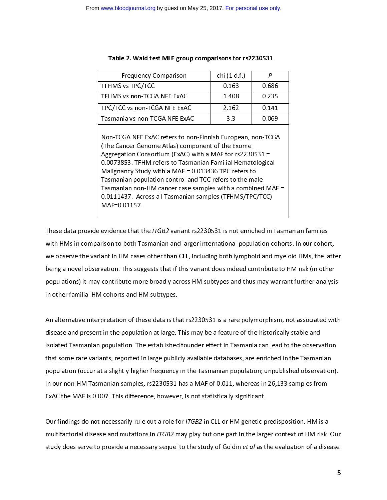| <b>Frequency Comparison</b>                                                                                                                                                                                                                                                                                                                                                                                                                                                                                   | chi (1 d.f.) | Р     |  |  |  |  |
|---------------------------------------------------------------------------------------------------------------------------------------------------------------------------------------------------------------------------------------------------------------------------------------------------------------------------------------------------------------------------------------------------------------------------------------------------------------------------------------------------------------|--------------|-------|--|--|--|--|
| <b>TFHMS vs TPC/TCC</b>                                                                                                                                                                                                                                                                                                                                                                                                                                                                                       | 0.163        | 0.686 |  |  |  |  |
| TFHMS vs non-TCGA NFE ExAC                                                                                                                                                                                                                                                                                                                                                                                                                                                                                    | 1.408        | 0.235 |  |  |  |  |
| TPC/TCC vs non-TCGA NFE ExAC                                                                                                                                                                                                                                                                                                                                                                                                                                                                                  | 2.162        | 0.141 |  |  |  |  |
| Tasmania vs non-TCGA NFE ExAC                                                                                                                                                                                                                                                                                                                                                                                                                                                                                 | 3.3          | 0.069 |  |  |  |  |
| Non-TCGA NFE ExAC refers to non-Finnish European, non-TCGA<br>(The Cancer Genome Atlas) component of the Exome<br>Aggregation Consortium (ExAC) with a MAF for $rs2230531 =$<br>0.0073853. TFHM refers to Tasmanian Familial Hematological<br>Malignancy Study with a MAF = $0.013436$ TPC refers to<br>Tasmanian population control and TCC refers to the male<br>Tasmanian non-HM cancer case samples with a combined MAF =<br>0.0111437. Across all Tasmanian samples (TFHMS/TPC/TCC)<br>$MAF = 0.01157$ . |              |       |  |  |  |  |

#### Table 2. Wald test MLE group comparisons for rs2230531

1 These data provide evidence that the *ITGB2* variant rs2230531 is not enriched in Tasmanian families<br>with HMs in comparison to both Tasmanian and larger international population cohorts. In our cohort, we observe the variant in HM cases other than CLL, including both lymphoid and myeloid HMs, the latter being a novel observation. This suggests that if this variant does indeed contribute to HM risk (in other populations) it may contribute more broadly across HM subtypes and thus may warrant further analysis in other familial HM cohorts and HM subtypes. in other familial HM cohorts and HM subtypes.

 $\overline{a}$ 

 $\overline{a}$ An alternative interpretation of these data is that rs2230531 is a rare polymorphism, not associated with<br>disease and present in the population at large. This may be a feature of the historically stable and isolated Tasmanian population. The established founder effect in Tasmania can lead to the observation that some rare variants, reported in large publicly available databases, are enriched in the Tasmanian population (occur at a slightly higher frequency in the Tasmanian population; unpublished observation). In our non-HM Tasmanian samples, rs2230531 has a MAF of 0.011, whereas in 26,133 samples from ExAC the MAF is 0.007. This difference, however, is not statistically significant. ExAC the MAF is 0.007. This difference, however, is not statistically significant.

 $\overline{\phantom{a}}$ Our findings do not necessarily rule out a role for *ITGB2* in CLL or HM genetic predisposition. HM is a<br>multifactorial disease and mutations in *ITGB2* may play but one part in the larger context of HM risk. Our multifactorial disease and mutations in ITGB2 may play but one part in the larger context of HM risk. Our study does serve to provide a necessary sequel to the study of Goldin et al as the evaluation of a disease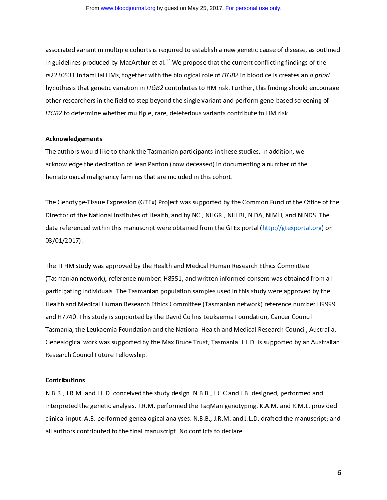associated variant in multiple constructs is required to establish a new generic cause of disease, as causaled in guidelines produced by MacArthur et al.<sup>12</sup> We propose that the current conflicting findings of the<br>re2220521 in familial HMs, together with the biological rele of *ITGB*2 in blood cells creates an a prior rs2230531 in familial HMs, together with the biological role of *ITGB2* in blood cells creates an *a priori*<br>hypothesis that genetic variation in *ITGB2* contributes to HM risk. Further, this finding should encourage other researchers in the field to step beyond the single variant and perform gene-based screening of other researchers in the field to step beyond the single variant and perform gene-based screening of<br>ITCB2 to determine whether multiple, rare, deleterieus variants centribute to HM risk ITGB2 to determine whether multiple, rare, deleterious variants contribute to HM risk.

#### $\overline{a}$ Acknowledgements

The authors would like to thank the Tasmanian participants in these studies. In addition, we<br>acknowledge the dedication of Jean Panton (now deceased) in documenting a number of the hematological malignancy families that are included in this cohort. hematological malignancy families that are included in this cohort.

 $\overline{a}$ The Genotype-Tissue Expression (GTEx) Project was supported by the Common Fund of the Office of the<br>Director of the National Institutes of Health, and by NCI, NHGRI, NHLBI, NIDA, NIMH, and NINDS. The data referenced within this manuscript were obtained from the GTEx portal (http://gtexportal.org) on data references with this manuscript within this manuscript with  $\frac{1}{2}$  (http://gtexportal.org/ 03/01/2017).

 $\overline{1}$ The TFHM study was approved by the Health and Medical Human Research Ethics Committee<br>(Tasmanian network), reference number: H8551, and written informed consent was obtained from all participating individuals. The Tasmanian population samples used in this study were approved by the Health and Medical Human Research Ethics Committee (Tasmanian network) reference number H9999 and H7740. This study is supported by the David Collins Leukaemia Foundation, Cancer Council Tasmania, the Leukaemia Foundation and the National Health and Medical Research Council, Australia. Genealogical work was supported by the Max Bruce Trust, Tasmania. J.L.D. is supported by an Australian Research Council Future Fellowship. Research Council Future Fellowship.

# ֦

**Contributions**<br>N.B.B., J.R.M. and J.L.D. conceived the study design. N.B.B., J.C.C and J.B. designed, performed and interpreted the genetic analysis. J.R.M. performed the TaqMan genotyping. K.A.M. and R.M.L. provided clinical input. A.B. performed genealogical analyses. N.B.B., J.R.M. and J.L.D. drafted the manuscript; and all authors contributed to the final manuscript. No conflicts to declare. all authors contributed to the final manuscript. No conflicts to declare.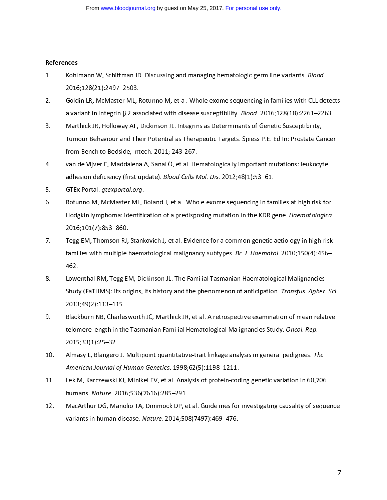#### l References

- 1. Kohlmann W, Schiffman JD. Discussing and managing hematologic germ line variants. *Blood.*<br>2016;128(21):2497–2503.
- Goldin LR, McMaster ML, Rotunno M, et al. Whole exome sequencing in families with CLL detects 2. Goldin LR, McMaster ML, Rotunno M, et al. Whole exome sequencing in families with CLL detects<br>a variant in Integrin B 2 associated with disease susceptibility. *Blood*. 2016;128(18):2261–2263.
- Marthick JR, Holloway AF, Dickinson JL. Integrins as Determinants of Genetic Susceptibility, 3. Marthick JR, Holloway AF, Dickinson JL. Integrins as Determinants of Genetic Susceptibility, from Bench to Bedside, Intech. 2011; 243-267.
- van de Vijver E, Maddalena A, Sanal Ö, et al. Hematologically important mutations: leukocyte  $\frac{1}{2}$ . van de Vijver E, waardalena A, Sanal Ö, et al. Hematological Ö, et al. Hematological mutations: leukochytemistical mutations: leukochytemistical mutations: leukochytemistical mutations: leukochytemistical mutat adhesion deficiency (first update). Blood Cells Mol. Dis. 2012;48(1):53–61.<br>CTEv Dertal aternettal era
- 
- 5. GTEx Portal. *gtexportal.org*.<br>6. Botunno M, McMaster ML, Boland J, et al. Whole exome sequencing in families at high risk for  $\overline{\phantom{a}}$ . Rodakin lymphoma; identification of a prodisposing mutation in the KDP gene. Heematelegical Hodgkin lymphoma: identification of a predisposing mutation in the KDR gene. Haematologica. 2016;101(7):853–860.<br>Tegg EM, Thomson RJ, Stankovich J, et al. Evidence for a common genetic aetiology in high-risk.
- $\frac{32}{100}$ ,  $\frac{32}{100}$ ,  $\frac{32}{100}$ ,  $\frac{32}{100}$ ,  $\frac{32}{100}$ ,  $\frac{32}{100}$ ,  $\frac{32}{100}$ ,  $\frac{32}{100}$ ,  $\frac{32}{100}$ ,  $\frac{32}{100}$ ,  $\frac{32}{100}$ ,  $\frac{32}{100}$ ,  $\frac{32}{100}$ ,  $\frac{32}{100}$ ,  $\frac{32}{100}$ ,  $\frac{32}{100}$ families with multiple haematological malignancy subtypes. *Br. J. Huematol.* 2010;150(4):456–<br>469 462.<br>Lowenthal RM, Tegg EM, Dickinson JL. The Familial Tasmanian Haematological Malignancies.
- 8. Lowenthal RM, Tegg EM, Dictminstrial The Familial Tasmanian Haematological Malignancies<br>8. Chickinson Jean-Lowenthal Tasmanian Haematological Malignanian Haematological Malignanian Jean-Chicken Study (FaTHMS): its origins, its history and the phenomenon of anticipation. Transfus. Apher. Sci. 2013;49(2):113–115.<br>Blackburn NB, Charlesworth JC, Marthick JR, et al. A retrospective examination of mean relative
- 9. Blackburn NB, Charlesworth J, Marthielm, J. Marthick J. J. et al. A retrospective examination of mean relative<br>Holomore length in the Tecmenian Eemiliel Hemetological Malignancies Study, Oncel, Ren telomere length in the Tasmanian Familial Hematological Malignancies Study. O*ncol. Rep.*<br>2015-22/1\-25\_22 2015;33(1):25–32.<br>Almasy L, Blangero J. Multipoint quantitative-trait linkage analysis in general pedigrees. The
- 10. Almasy L, Blangero J. Multipoint quantitative-trait linkage anal<br>American Journal of Human Genetics. 1998;62(5):1198–1211.
- Lek M, Karczewski KJ, Minikel EV, et al. Analysis of protein-coding genetic variation in 60,706 11. Lek M, Karczewski KJ, Minikel EV, et al. Anal<br>humans. Nature. 2016;536(7616):285–291.
- MacArthur DG, Manolio TA, Dimmock DP, et al. Guidelines for investigating causality of sequence 12. MacArthur De, Manolio Ta, Dimmock D, et al. Dimensiones for investigating causality of sequence variants in human disease. Nature. 2014;508(7497):469–476.